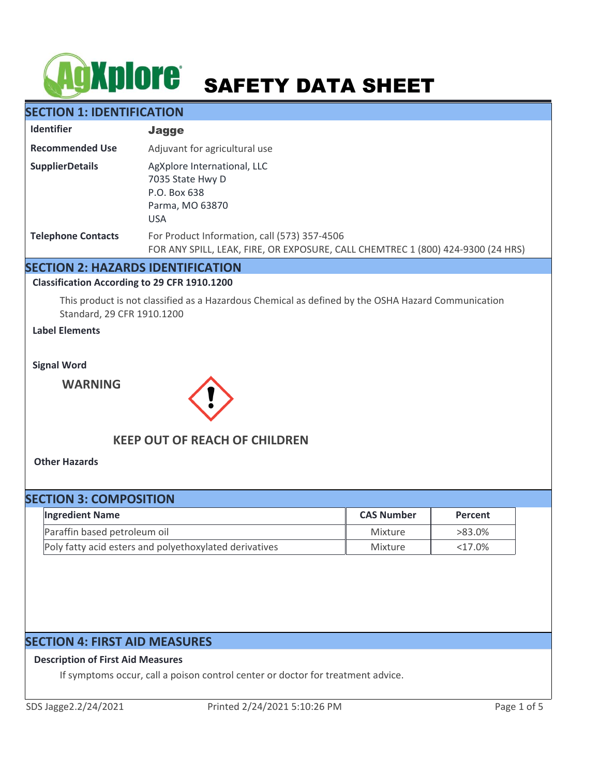# **AGXPIOTE** SAFETY DATA SHEET

# **SECTION 1: IDENTIFICATION**

| <b>Identifier</b>         | <b>Jagge</b>                                                                                                                    |
|---------------------------|---------------------------------------------------------------------------------------------------------------------------------|
| <b>Recommended Use</b>    | Adjuvant for agricultural use                                                                                                   |
| <b>SupplierDetails</b>    | AgXplore International, LLC<br>7035 State Hwy D<br>P.O. Box 638<br>Parma, MO 63870<br><b>USA</b>                                |
| <b>Telephone Contacts</b> | For Product Information, call (573) 357-4506<br>FOR ANY SPILL, LEAK, FIRE, OR EXPOSURE, CALL CHEMTREC 1 (800) 424-9300 (24 HRS) |

## **SECTION 2: HAZARDS IDENTIFICATION**

#### **Classification According to 29 CFR 1910.1200**

This product is not classified as a Hazardous Chemical as defined by the OSHA Hazard Communication Standard, 29 CFR 1910.1200

## **Label Elements**

**Signal Word**

**WARNING**



# **KEEP OUT OF REACH OF CHILDREN**

**Other Hazards**

# **SECTION 3: COMPOSITION**

| <b>Ingredient Name</b>                                 | <b>CAS Number</b> | Percent   |
|--------------------------------------------------------|-------------------|-----------|
| Paraffin based petroleum oil                           | Mixture           | >83.0%    |
| Poly fatty acid esters and polyethoxylated derivatives | Mixture           | $<17.0\%$ |

# **SECTION 4: FIRST AID MEASURES**

#### **Description of First Aid Measures**

If symptoms occur, call a poison control center or doctor for treatment advice.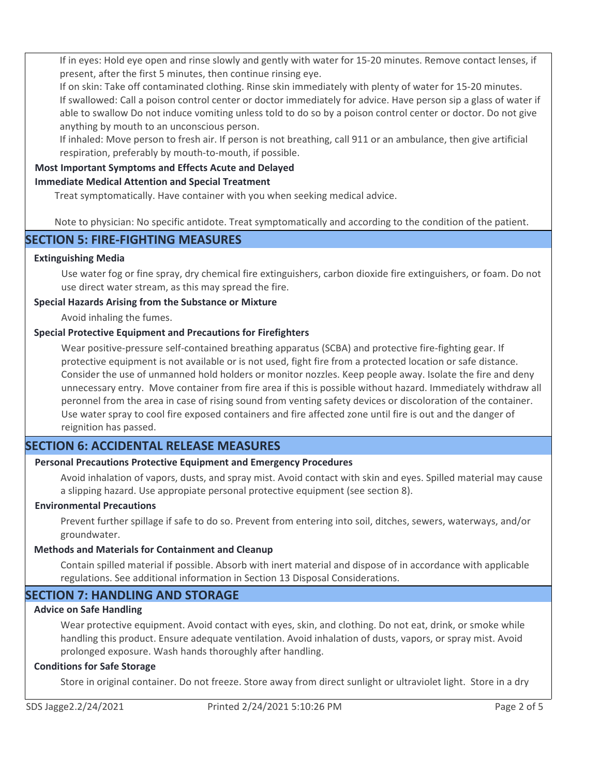If in eyes: Hold eye open and rinse slowly and gently with water for 15-20 minutes. Remove contact lenses, if present, after the first 5 minutes, then continue rinsing eye.

If on skin: Take off contaminated clothing. Rinse skin immediately with plenty of water for 15-20 minutes. If swallowed: Call a poison control center or doctor immediately for advice. Have person sip a glass of water if able to swallow Do not induce vomiting unless told to do so by a poison control center or doctor. Do not give anything by mouth to an unconscious person.

If inhaled: Move person to fresh air. If person is not breathing, call 911 or an ambulance, then give artificial respiration, preferably by mouth-to-mouth, if possible.

## **Most Important Symptoms and Effects Acute and Delayed**

#### **Immediate Medical Attention and Special Treatment**

Treat symptomatically. Have container with you when seeking medical advice.

Note to physician: No specific antidote. Treat symptomatically and according to the condition of the patient.

## **SECTION 5: FIRE-FIGHTING MEASURES**

#### **Extinguishing Media**

Use water fog or fine spray, dry chemical fire extinguishers, carbon dioxide fire extinguishers, or foam. Do not use direct water stream, as this may spread the fire.

#### **Special Hazards Arising from the Substance or Mixture**

Avoid inhaling the fumes.

#### **Special Protective Equipment and Precautions for Firefighters**

Wear positive-pressure self-contained breathing apparatus (SCBA) and protective fire-fighting gear. If protective equipment is not available or is not used, fight fire from a protected location or safe distance. Consider the use of unmanned hold holders or monitor nozzles. Keep people away. Isolate the fire and deny unnecessary entry. Move container from fire area if this is possible without hazard. Immediately withdraw all peronnel from the area in case of rising sound from venting safety devices or discoloration of the container. Use water spray to cool fire exposed containers and fire affected zone until fire is out and the danger of reignition has passed.

# **SECTION 6: ACCIDENTAL RELEASE MEASURES**

## **Personal Precautions Protective Equipment and Emergency Procedures**

Avoid inhalation of vapors, dusts, and spray mist. Avoid contact with skin and eyes. Spilled material may cause a slipping hazard. Use appropiate personal protective equipment (see section 8).

#### **Environmental Precautions**

Prevent further spillage if safe to do so. Prevent from entering into soil, ditches, sewers, waterways, and/or groundwater.

#### **Methods and Materials for Containment and Cleanup**

Contain spilled material if possible. Absorb with inert material and dispose of in accordance with applicable regulations. See additional information in Section 13 Disposal Considerations.

# **SECTION 7: HANDLING AND STORAGE**

## **Advice on Safe Handling**

Wear protective equipment. Avoid contact with eyes, skin, and clothing. Do not eat, drink, or smoke while handling this product. Ensure adequate ventilation. Avoid inhalation of dusts, vapors, or spray mist. Avoid prolonged exposure. Wash hands thoroughly after handling.

#### **Conditions for Safe Storage**

Store in original container. Do not freeze. Store away from direct sunlight or ultraviolet light. Store in a dry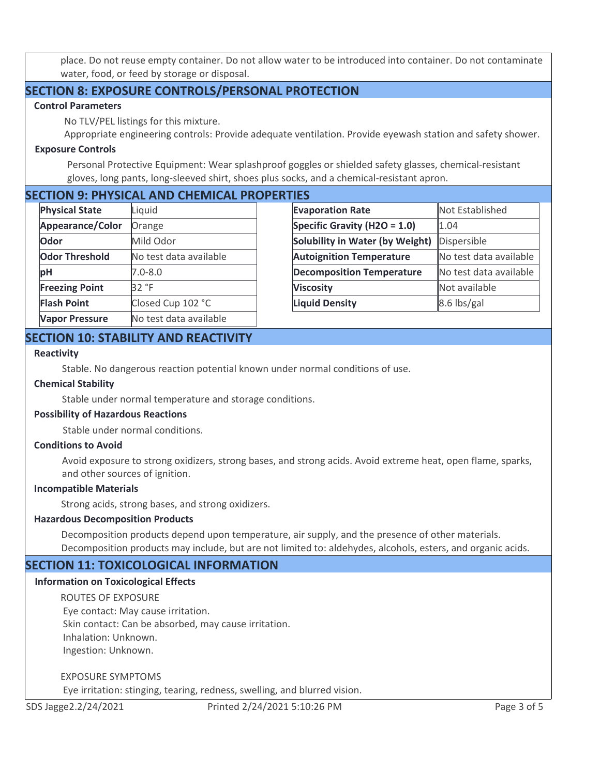place. Do not reuse empty container. Do not allow water to be introduced into container. Do not contaminate water, food, or feed by storage or disposal.

# **SECTION 8: EXPOSURE CONTROLS/PERSONAL PROTECTION**

#### **Control Parameters**

No TLV/PEL listings for this mixture.

Appropriate engineering controls: Provide adequate ventilation. Provide eyewash station and safety shower.

#### **Exposure Controls**

Personal Protective Equipment: Wear splashproof goggles or shielded safety glasses, chemical-resistant gloves, long pants, long-sleeved shirt, shoes plus socks, and a chemical-resistant apron.

# **SECTION 9: PHYSICAL AND CHEMICAL PROPERTIES**

| <b>Physical State</b> | Liquid                 |  |
|-----------------------|------------------------|--|
| Appearance/Color      | Orange                 |  |
| Odor                  | Mild Odor              |  |
| <b>Odor Threshold</b> | No test data available |  |
| pH                    | $7.0 - 8.0$            |  |
| <b>Freezing Point</b> | 32 °F                  |  |
| <b>Flash Point</b>    | Closed Cup 102 °C      |  |
| <b>Vapor Pressure</b> | No test data available |  |

| .                                      |                         |
|----------------------------------------|-------------------------|
| <b>Evaporation Rate</b>                | <b>Not Established</b>  |
| Specific Gravity (H2O = 1.0)           | 1.04                    |
| <b>Solubility in Water (by Weight)</b> | Dispersible             |
| <b>Autoignition Temperature</b>        | No test data available  |
| <b>Decomposition Temperature</b>       | lNo test data available |
| <b>Viscosity</b>                       | Not available           |
| <b>Liquid Density</b>                  | 8.6 lbs/gal             |
|                                        |                         |

# **SECTION 10: STABILITY AND REACTIVITY**

#### **Reactivity**

Stable. No dangerous reaction potential known under normal conditions of use.

#### **Chemical Stability**

Stable under normal temperature and storage conditions.

#### **Possibility of Hazardous Reactions**

Stable under normal conditions.

#### **Conditions to Avoid**

Avoid exposure to strong oxidizers, strong bases, and strong acids. Avoid extreme heat, open flame, sparks, and other sources of ignition.

#### **Incompatible Materials**

Strong acids, strong bases, and strong oxidizers.

#### **Hazardous Decomposition Products**

Decomposition products depend upon temperature, air supply, and the presence of other materials. Decomposition products may include, but are not limited to: aldehydes, alcohols, esters, and organic acids.

# **SECTION 11: TOXICOLOGICAL INFORMATION**

#### **Information on Toxicological Effects**

ROUTES OF EXPOSURE

 Eye contact: May cause irritation. Skin contact: Can be absorbed, may cause irritation. Inhalation: Unknown. Ingestion: Unknown.

#### EXPOSURE SYMPTOMS

Eye irritation: stinging, tearing, redness, swelling, and blurred vision.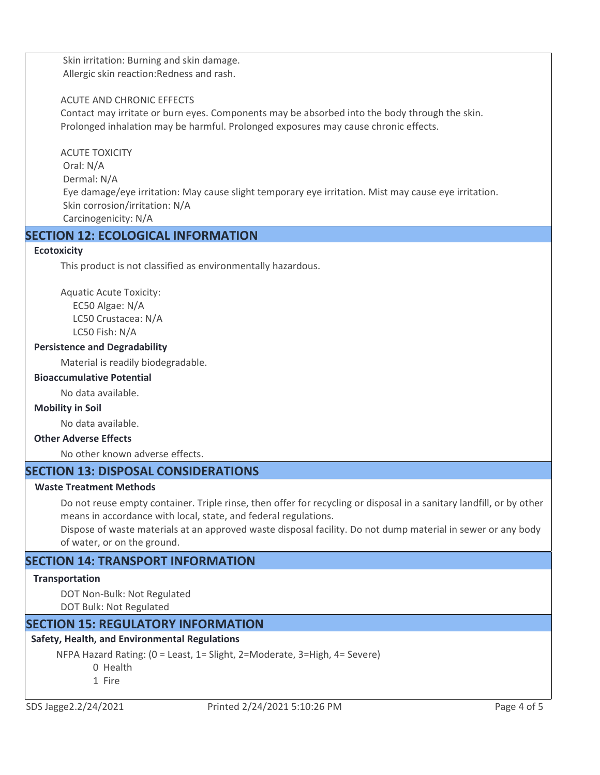Skin irritation: Burning and skin damage. Allergic skin reaction:Redness and rash.

#### ACUTE AND CHRONIC EFFECTS

Contact may irritate or burn eyes. Components may be absorbed into the body through the skin. Prolonged inhalation may be harmful. Prolonged exposures may cause chronic effects.

ACUTE TOXICITY Oral: N/A Dermal: N/A Eye damage/eye irritation: May cause slight temporary eye irritation. Mist may cause eye irritation. Skin corrosion/irritation: N/A Carcinogenicity: N/A

# **SECTION 12: ECOLOGICAL INFORMATION**

#### **Ecotoxicity**

This product is not classified as environmentally hazardous.

Aquatic Acute Toxicity: EC50 Algae: N/A LC50 Crustacea: N/A LC50 Fish: N/A

#### **Persistence and Degradability**

Material is readily biodegradable.

#### **Bioaccumulative Potential**

No data available.

#### **Mobility in Soil**

No data available.

#### **Other Adverse Effects**

No other known adverse effects.

# **SECTION 13: DISPOSAL CONSIDERATIONS**

#### **Waste Treatment Methods**

Do not reuse empty container. Triple rinse, then offer for recycling or disposal in a sanitary landfill, or by other means in accordance with local, state, and federal regulations.

Dispose of waste materials at an approved waste disposal facility. Do not dump material in sewer or any body of water, or on the ground.

# **SECTION 14: TRANSPORT INFORMATION**

#### **Transportation**

DOT Non-Bulk: Not Regulated DOT Bulk: Not Regulated

# **SECTION 15: REGULATORY INFORMATION**

## **Safety, Health, and Environmental Regulations**

NFPA Hazard Rating: (0 = Least, 1= Slight, 2=Moderate, 3=High, 4= Severe)

0 Health

1 Fire